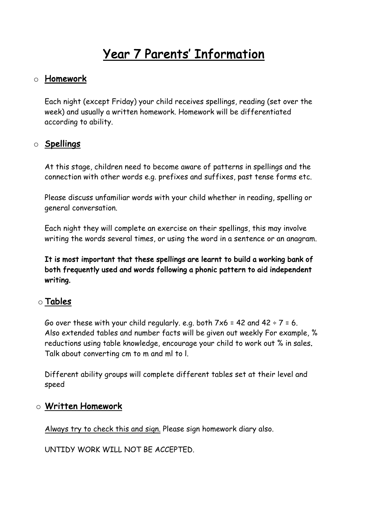# Year 7 Parents' Information

#### o Homework

Each night (except Friday) your child receives spellings, reading (set over the week) and usually a written homework. Homework will be differentiated according to ability.

#### o Spellings

At this stage, children need to become aware of patterns in spellings and the connection with other words e.g. prefixes and suffixes, past tense forms etc.

Please discuss unfamiliar words with your child whether in reading, spelling or general conversation.

Each night they will complete an exercise on their spellings, this may involve writing the words several times, or using the word in a sentence or an anagram.

It is most important that these spellings are learnt to build a working bank of both frequently used and words following a phonic pattern to aid independent writing.

#### o Tables

Go over these with your child regularly. e.g. both  $7\times6$  = 42 and 42 ÷  $7$  = 6. Also extended tables and number facts will be given out weekly For example, % reductions using table knowledge, encourage your child to work out % in sales. Talk about converting cm to m and ml to l.

Different ability groups will complete different tables set at their level and speed

#### o Written Homework

Always try to check this and sign. Please sign homework diary also.

UNTIDY WORK WILL NOT BE ACCEPTED.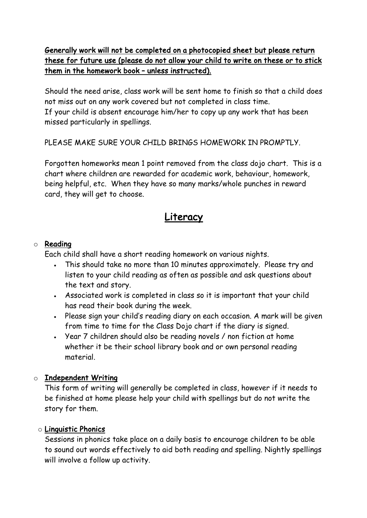#### Generally work will not be completed on a photocopied sheet but please return these for future use (please do not allow your child to write on these or to stick them in the homework book – unless instructed).

Should the need arise, class work will be sent home to finish so that a child does not miss out on any work covered but not completed in class time. If your child is absent encourage him/her to copy up any work that has been missed particularly in spellings.

PLEASE MAKE SURE YOUR CHILD BRINGS HOMEWORK IN PROMPTLY.

Forgotten homeworks mean 1 point removed from the class dojo chart. This is a chart where children are rewarded for academic work, behaviour, homework, being helpful, etc. When they have so many marks/whole punches in reward card, they will get to choose.

# Literacy

#### o Reading

Each child shall have a short reading homework on various nights.

- This should take no more than 10 minutes approximately. Please try and listen to your child reading as often as possible and ask questions about the text and story.
- Associated work is completed in class so it is important that your child has read their book during the week.
- Please sign your child's reading diary on each occasion. A mark will be given from time to time for the Class Dojo chart if the diary is signed.
- Year 7 children should also be reading novels / non fiction at home whether it be their school library book and or own personal reading material.

#### o Independent Writing

This form of writing will generally be completed in class, however if it needs to be finished at home please help your child with spellings but do not write the story for them.

#### o Linguistic Phonics

Sessions in phonics take place on a daily basis to encourage children to be able to sound out words effectively to aid both reading and spelling. Nightly spellings will involve a follow up activity.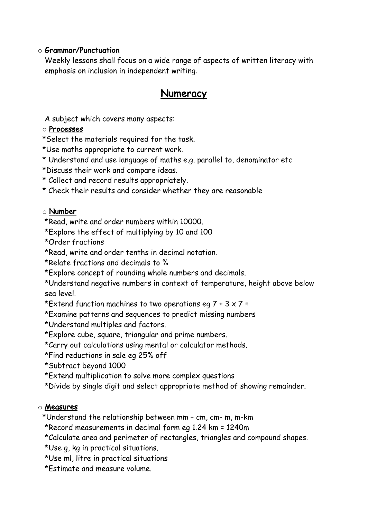#### o Grammar/Punctuation

Weekly lessons shall focus on a wide range of aspects of written literacy with emphasis on inclusion in independent writing.

# Numeracy

A subject which covers many aspects:

#### o Processes

\*Select the materials required for the task.

- \*Use maths appropriate to current work.
- \* Understand and use language of maths e.g. parallel to, denominator etc
- \*Discuss their work and compare ideas.
- \* Collect and record results appropriately.
- \* Check their results and consider whether they are reasonable

#### o Number

\*Read, write and order numbers within 10000.

- \*Explore the effect of multiplying by 10 and 100
- \*Order fractions
- \*Read, write and order tenths in decimal notation.
- \*Relate fractions and decimals to %
- \*Explore concept of rounding whole numbers and decimals.

\*Understand negative numbers in context of temperature, height above below sea level.

- \*Extend function machines to two operations eg  $7 + 3 \times 7 =$
- \*Examine patterns and sequences to predict missing numbers
- \*Understand multiples and factors.
- \*Explore cube, square, triangular and prime numbers.
- \*Carry out calculations using mental or calculator methods.
- \*Find reductions in sale eg 25% off
- \*Subtract beyond 1000
- \*Extend multiplication to solve more complex questions
- \*Divide by single digit and select appropriate method of showing remainder.

#### o Measures

\*Understand the relationship between mm – cm, cm- m, m-km

- \*Record measurements in decimal form eg 1.24 km = 1240m
- \*Calculate area and perimeter of rectangles, triangles and compound shapes.
- \*Use g, kg in practical situations.
- \*Use ml, litre in practical situations
- \*Estimate and measure volume.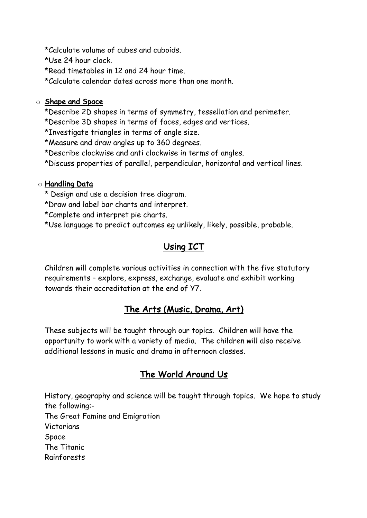\*Calculate volume of cubes and cuboids.

\*Use 24 hour clock.

\*Read timetables in 12 and 24 hour time.

\*Calculate calendar dates across more than one month.

#### o Shape and Space

\*Describe 2D shapes in terms of symmetry, tessellation and perimeter.

\*Describe 3D shapes in terms of faces, edges and vertices.

\*Investigate triangles in terms of angle size.

\*Measure and draw angles up to 360 degrees.

\*Describe clockwise and anti clockwise in terms of angles.

\*Discuss properties of parallel, perpendicular, horizontal and vertical lines.

#### o Handling Data

\* Design and use a decision tree diagram.

\*Draw and label bar charts and interpret.

\*Complete and interpret pie charts.

\*Use language to predict outcomes eg unlikely, likely, possible, probable.

# Using ICT

Children will complete various activities in connection with the five statutory requirements – explore, express, exchange, evaluate and exhibit working towards their accreditation at the end of Y7.

#### The Arts (Music, Drama, Art)

These subjects will be taught through our topics. Children will have the opportunity to work with a variety of media. The children will also receive additional lessons in music and drama in afternoon classes.

## The World Around Us

History, geography and science will be taught through topics. We hope to study the following:- The Great Famine and Emigration Victorians Space The Titanic Rainforests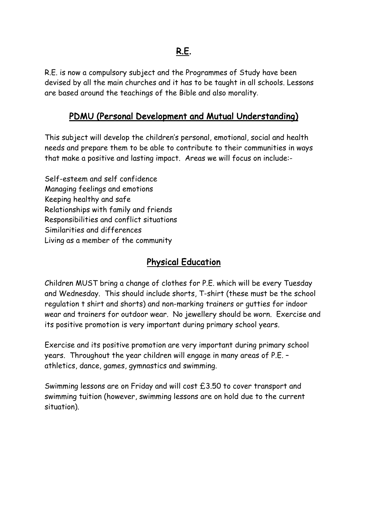# R.E.

R.E. is now a compulsory subject and the Programmes of Study have been devised by all the main churches and it has to be taught in all schools. Lessons are based around the teachings of the Bible and also morality.

### PDMU (Personal Development and Mutual Understanding)

This subject will develop the children's personal, emotional, social and health needs and prepare them to be able to contribute to their communities in ways that make a positive and lasting impact. Areas we will focus on include:-

Self-esteem and self confidence Managing feelings and emotions Keeping healthy and safe Relationships with family and friends Responsibilities and conflict situations Similarities and differences Living as a member of the community

## Physical Education

Children MUST bring a change of clothes for P.E. which will be every Tuesday and Wednesday. This should include shorts, T-shirt (these must be the school regulation t shirt and shorts) and non-marking trainers or gutties for indoor wear and trainers for outdoor wear. No jewellery should be worn. Exercise and its positive promotion is very important during primary school years.

Exercise and its positive promotion are very important during primary school years. Throughout the year children will engage in many areas of P.E. – athletics, dance, games, gymnastics and swimming.

Swimming lessons are on Friday and will cost £3.50 to cover transport and swimming tuition (however, swimming lessons are on hold due to the current situation).